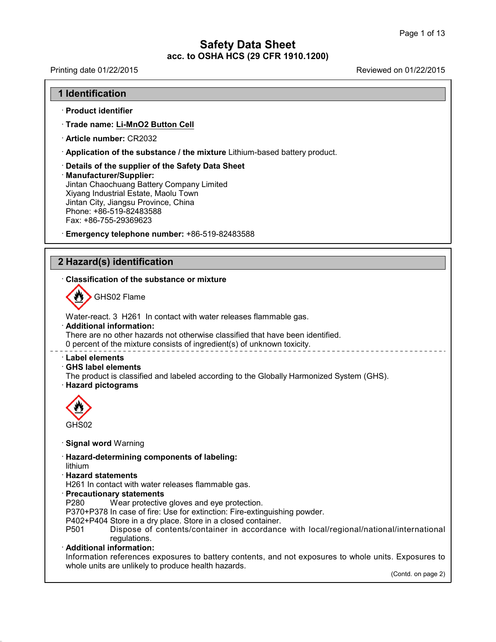Printing date 01/22/2015 Reviewed on 01/22/2015

## **1 Identification**

#### · **Product identifier**

- · **Trade name: Li-MnO2 Button Cell**
- · **Article number:** CR2032
- · **Application of the substance / the mixture** Lithium-based battery product.
- · **Details of the supplier of the Safety Data Sheet**

#### · **Manufacturer/Supplier:**

Jintan Chaochuang Battery Company Limited Xiyang Industrial Estate, Maolu Town Jintan City, Jiangsu Province, China Phone: +86-519-82483588 Fax: +86-755-29369623

· **Emergency telephone number:** +86-519-82483588

## **2 Hazard(s) identification**

## · **Classification of the substance ormixture**



GHS02 Flame

Water-react. 3 H261 In contact with water releases flammable gas. · **Additional information:** There are no other hazards not otherwise classified that have been identified. 0 percent of the mixture consists of ingredient(s) of unknown toxicity.

## · **Label elements**

## · **GHS label elements**

The product is classified and labeled according to the Globally Harmonized System (GHS).

## · **Hazard pictograms**



## · **Signal word** Warning

- · **Hazard-determining components of labeling:**
- lithium

40.0.6

## · **Hazard statements**

- H261 In contact with water releases flammable gas.
- · **Precautionary statements**
	- Wear protective gloves and eye protection.
- P370+P378 In case of fire: Use for extinction: Fire-extinguishing powder.
- P402+P404 Store in a dry place. Store in a closed container.
- Dispose of contents/container in accordance with local/regional/national/international regulations.

## · **Additional information:**

Information references exposures to battery contents, and not exposures to whole units. Exposures to whole units are unlikely to produce health hazards.

(Contd. on page 2)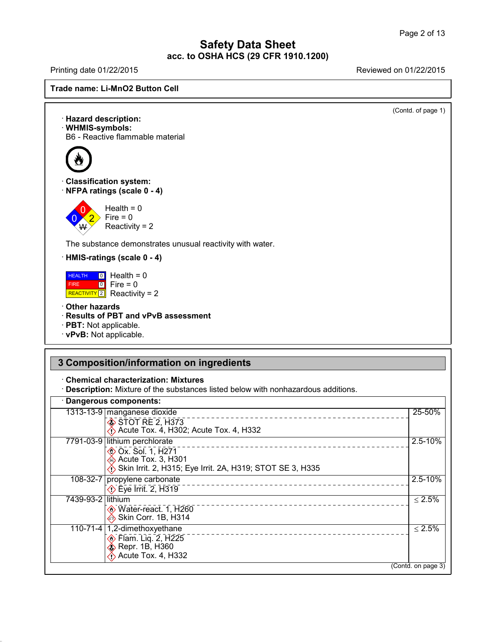Printing date 01/22/2015 Reviewed on 01/22/2015



(Contd. of page 1)

· **Hazard description:** · **WHMIS-symbols:** B6 - Reactive flammable material · **Classification system:** · **NFPA ratings (scale 0 - 4)**



The substance demonstrates unusual reactivity with water.

· **HMIS-ratings (scale 0 - 4)**

**HEALTH** 0 Hea FIRE 0 REACTIVITY <sup>2</sup> Health <sup>=</sup> <sup>0</sup>  $\boxed{0}$  Fire = 0  $Fire = 0$ Reactivity = 2

- · **Other hazards**
- · **Results of PBT and vPvB assessment**
- · **PBT:** Not applicable.
- · **vPvB:** Not applicable.

# **3 Composition/information on ingredients**

· **Chemical characterization: Mixtures**

· **Description:** Mixture of the substances listed below with nonhazardous additions.

# · **Dangerous components:**

40.0.6

| Dangerous components.                                                                                                                             |                    |
|---------------------------------------------------------------------------------------------------------------------------------------------------|--------------------|
| 1313-13-9 manganese dioxide<br>STOT RE 2, H373<br>$\leftrightarrow$ Acute Tox. 4, H302; Acute Tox. 4, H332                                        | 25-50%             |
| 7791-03-9 lithium perchlorate<br><b>EXALC</b> Ox. Sol. 1, H271<br>Acute Tox. 3, H301<br>Skin Irrit. 2, H315; Eye Irrit. 2A, H319; STOT SE 3, H335 | $2.5 - 10%$        |
| 108-32-7 propylene carbonate<br><b>Eye Irrit. 2, H319</b>                                                                                         | $2.5 - 10%$        |
| 7439-93-2 lithium<br><b>♦ Water-react. 1, H260</b><br>Skin Corr. 1B, H314                                                                         | $\leq 2.5\%$       |
| 110-71-4   1,2-dimethoxyethane<br><b>♦ Flam. Lig. 2, H225</b><br>Externed B, H360<br>$\bigotimes$ Acute Tox. 4, H332                              | $\leq 2.5\%$       |
|                                                                                                                                                   | (Contd. on page 3) |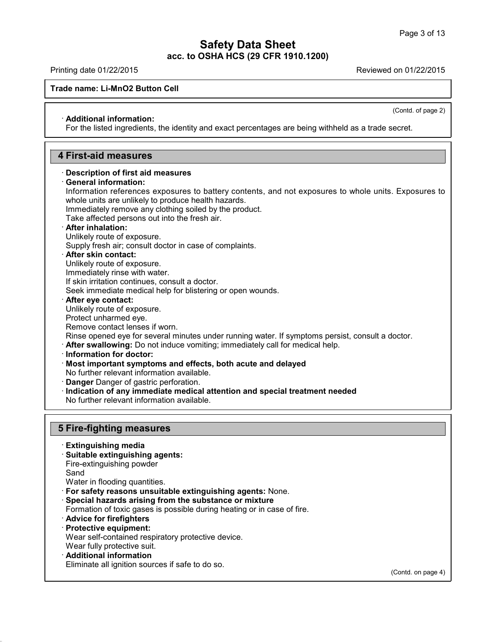Printing date 01/22/2015 Reviewed on 01/22/2015

## **Trade name: Li-MnO2 Button Cell**

(Contd. of page 2)

## · **Additional information:**

For the listed ingredients, the identity and exact percentages are being withheld as a trade secret.

## **4 First-aid measures**

#### · **Description of first aid measures**

· **General information:**

Information references exposures to battery contents, and not exposures to whole units. Exposures to whole units are unlikely to produce health hazards.

Immediately remove any clothing soiled by the product.

Take affected persons out into the fresh air.

## · **After inhalation:**

Unlikely route of exposure.

Supply fresh air; consult doctor in case of complaints.

#### · **After skin contact:**

Unlikely route of exposure.

Immediately rinse with water.

If skin irritation continues, consult a doctor.

Seek immediate medical help for blistering or open wounds.

#### · **After eye contact:**

Unlikely route of exposure.

Protect unharmed eye.

#### Remove contact lenses if worn.

Rinse opened eye for several minutes under running water. If symptoms persist, consult a doctor.

· **After swallowing:** Do not induce vomiting; immediately call for medical help.

#### · **Information fordoctor:**

· **Most important symptoms and effects, both acute and delayed** No further relevant information available.

- · **Danger** Danger of gastric perforation.
- · **Indication of any immediate medical attention and special treatment needed**
- No further relevant information available.

## **5 Fire-fighting measures**

- · **Extinguishing media**
- · **Suitable extinguishing agents:**

Fire-extinguishing powder

Sand

40.0.6

- Water in flooding quantities.
- · **For safety reasons unsuitable extinguishing agents:** None.
- · **Special hazards arising from the substance or mixture**
- Formation of toxic gases is possible during heating or in case of fire.
- · **Advice for firefighters**
- · **Protective equipment:**

Wear self-contained respiratory protective device.

- Wear fully protective suit.
- · **Additional information**

Eliminate all ignition sources if safe to do so.

(Contd. on page 4)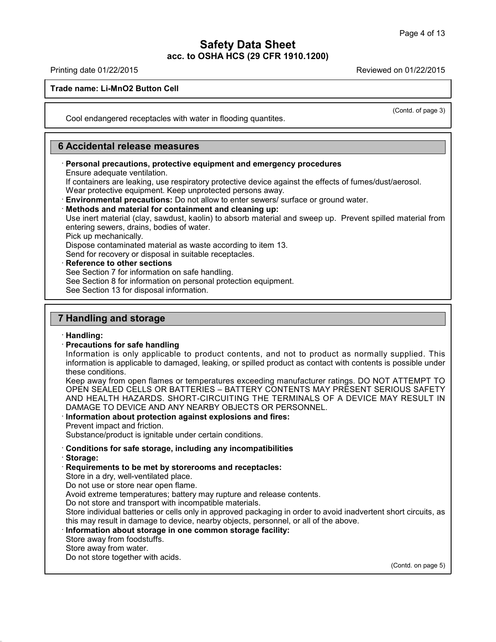Printing date 01/22/2015 Reviewed on 01/22/2015

**Trade name: Li-MnO2 Button Cell**

(Contd. of page 3)

Cool endangered receptacles with water in flooding quantites.

## **6 Accidental release measures**

#### · **Personal precautions, protective equipment and emergency procedures** Ensure adequate ventilation.

If containers are leaking, use respiratory protective device against the effects of fumes/dust/aerosol. Wear protective equipment. Keep unprotected persons away.

· **Environmental precautions:** Do not allow to enter sewers/ surface or ground water.

#### · **Methods and material for containment and cleaning up:**

Use inert material (clay, sawdust, kaolin) to absorb material and sweep up. Prevent spilled material from entering sewers, drains, bodies of water.

Pick up mechanically.

Dispose contaminated material as waste according to item 13.

Send for recovery or disposal in suitable receptacles.

· **Reference to other sections**

See Section 7 for information on safe handling.

See Section 8 for information on personal protection equipment.

See Section 13 for disposal information.

## **7 Handling and storage**

## · **Handling:**

## · **Precautions for safe handling**

Information is only applicable to product contents, and not to product as normally supplied. This information is applicable to damaged, leaking, or spilled product as contact with contents is possible under these conditions.

Keep away from open flames or temperatures exceeding manufacturer ratings. DO NOT ATTEMPT TO OPEN SEALED CELLS OR BATTERIES – BATTERY CONTENTS MAY PRESENT SERIOUS SAFETY AND HEALTH HAZARDS. SHORT-CIRCUITING THE TERMINALS OF A DEVICE MAY RESULT IN DAMAGE TO DEVICE AND ANY NEARBY OBJECTS OR PERSONNEL.

#### · **Information about protection against explosions and fires:** Prevent impact and friction.

Substance/product is ignitable under certain conditions.

- · **Conditions for safe storage, including any incompatibilities**
- · **Storage:**

40.0.6

## · **Requirements to be met by storerooms and receptacles:**

Store in a dry, well-ventilated place.

Do not use or store near open flame.

Avoid extreme temperatures; battery may rupture and release contents.

Do not store and transport with incompatible materials.

Store individual batteries or cells only in approved packaging in order to avoid inadvertent short circuits, as this may result in damage to device, nearby objects, personnel, or all of the above.

## · **Information about storage in one common storage facility:**

Store away from foodstuffs.

Store away from water.

Do not store together with acids.

(Contd. on page 5)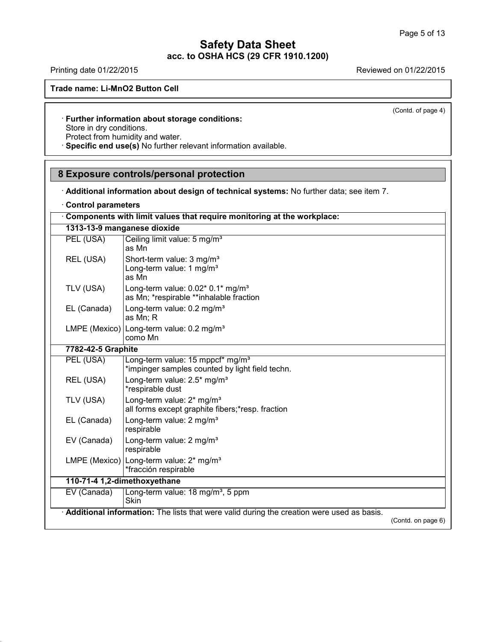Printing date 01/22/2015 **Reviewed on 01/22/2015** 

**Trade name: Li-MnO2 Button Cell**

(Contd. of page 4)

## · **Further information about storage conditions:** Store in dry conditions. Protect from humidity and water.

· **Specific end use(s)** No further relevant information available.

## **8 Exposure controls/personal protection**

· **Additional information about design of technical systems:** No further data; see item 7.

|  |  | <b>Control parameters</b> |
|--|--|---------------------------|
|--|--|---------------------------|

40.0.6

|                             | Components with limit values that require monitoring at the workplace:                          |                    |
|-----------------------------|-------------------------------------------------------------------------------------------------|--------------------|
| 1313-13-9 manganese dioxide |                                                                                                 |                    |
| PEL (USA)                   | Ceiling limit value: 5 mg/m <sup>3</sup><br>as Mn                                               |                    |
| REL (USA)                   | Short-term value: 3 mg/m <sup>3</sup><br>Long-term value: 1 mg/m <sup>3</sup><br>as Mn          |                    |
| TLV (USA)                   | Long-term value: $0.02$ * $0.1$ * mg/m <sup>3</sup><br>as Mn; *respirable **inhalable fraction  |                    |
| EL (Canada)                 | Long-term value: 0.2 mg/m <sup>3</sup><br>as Mn; R                                              |                    |
|                             | LMPE (Mexico) Long-term value: $0.2 \text{ mg/m}^3$<br>como Mn                                  |                    |
| 7782-42-5 Graphite          |                                                                                                 |                    |
| PEL (USA)                   | Long-term value: 15 mppcf* mg/m <sup>3</sup><br>*impinger samples counted by light field techn. |                    |
| REL (USA)                   | Long-term value: 2.5* mg/m <sup>3</sup><br>*respirable dust                                     |                    |
| TLV (USA)                   | Long-term value: 2* mg/m <sup>3</sup><br>all forms except graphite fibers;*resp. fraction       |                    |
| EL (Canada)                 | Long-term value: 2 mg/m <sup>3</sup><br>respirable                                              |                    |
| EV (Canada)                 | Long-term value: 2 mg/m <sup>3</sup><br>respirable                                              |                    |
|                             | LMPE (Mexico) Long-term value: 2* mg/m <sup>3</sup><br>*fracción respirable                     |                    |
|                             | 110-71-4 1,2-dimethoxyethane                                                                    |                    |
| EV (Canada)                 | Long-term value: 18 mg/m <sup>3</sup> , 5 ppm<br>Skin                                           |                    |
|                             | Additional information: The lists that were valid during the creation were used as basis.       | (Contd. on page 6) |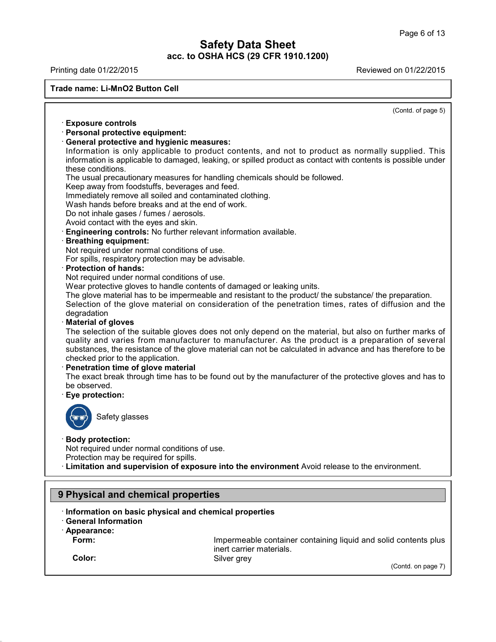Printing date 01/22/2015 Reviewed on 01/22/2015

**Trade name: Li-MnO2 Button Cell**

(Contd. of page 5)

## · **Exposure controls**

· **Personal protective equipment:**

## · **General protective and hygienic measures:**

Information is only applicable to product contents, and not to product as normally supplied. This information is applicable to damaged, leaking, or spilled product as contact with contents is possible under these conditions.

The usual precautionary measures for handling chemicals should be followed.

Keep away from foodstuffs, beverages and feed.

Immediately remove all soiled and contaminated clothing.

Wash hands before breaks and at the end of work.

Do not inhale gases / fumes / aerosols.

Avoid contact with the eyes and skin.

· **Engineering controls:** No further relevant information available.

## · **Breathing equipment:**

Not required under normal conditions of use.

For spills, respiratory protection may be advisable.

· **Protection of hands:**

Not required under normal conditions of use.

Wear protective gloves to handle contents of damaged or leaking units.

The glove material has to be impermeable and resistant to the product/ the substance/ the preparation. Selection of the glove material on consideration of the penetration times, rates of diffusion and the degradation

#### · **Material of gloves**

The selection of the suitable gloves does not only depend on the material, but also on further marks of quality and varies from manufacturer to manufacturer. As the product is a preparation of several substances, the resistance of the glove material can not be calculated in advance and has therefore to be checked prior to the application.

## · **Penetration time of glove material**

The exact break through time has to be found out by the manufacturer of the protective gloves and has to be observed.

## · **Eye protection:**



Safety glasses

## · **Body protection:**

Not required under normal conditions of use.

Protection may be required for spills.

· **Limitation and supervision of exposure into the environment** Avoid release to the environment.

## **9 Physical and chemical properties**

- · **Information on basic physical and chemical properties**
- · **General Information**
- · **Appearance:**
	-

**Form:** Impermeable container containing liquid and solid contents plus inert carrier materials. **Color:** Silver grey

40.0.6

(Contd. on page 7)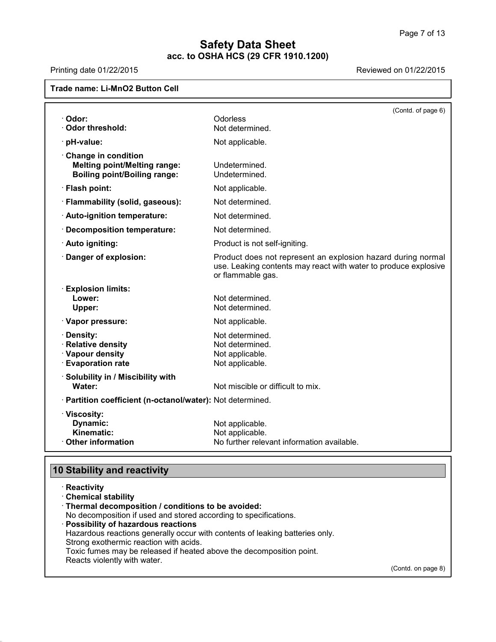# Printing date 01/22/2015 **Reviewed on 01/22/2015**

## **Trade name: Li-MnO2 Button Cell**

|                                                                                                   | (Contd. of page 6)                                                                                                                                   |
|---------------------------------------------------------------------------------------------------|------------------------------------------------------------------------------------------------------------------------------------------------------|
| · Odor:                                                                                           | Odorless                                                                                                                                             |
| · Odor threshold:                                                                                 | Not determined.                                                                                                                                      |
| · pH-value:                                                                                       | Not applicable.                                                                                                                                      |
| Change in condition<br><b>Melting point/Melting range:</b><br><b>Boiling point/Boiling range:</b> | Undetermined.<br>Undetermined.                                                                                                                       |
| · Flash point:                                                                                    | Not applicable.                                                                                                                                      |
| · Flammability (solid, gaseous):                                                                  | Not determined.                                                                                                                                      |
| · Auto-ignition temperature:                                                                      | Not determined.                                                                                                                                      |
| · Decomposition temperature:                                                                      | Not determined.                                                                                                                                      |
| · Auto igniting:                                                                                  | Product is not self-igniting.                                                                                                                        |
| · Danger of explosion:                                                                            | Product does not represent an explosion hazard during normal<br>use. Leaking contents may react with water to produce explosive<br>or flammable gas. |
| <b>Explosion limits:</b><br>Lower:<br>Upper:                                                      | Not determined.<br>Not determined.                                                                                                                   |
| · Vapor pressure:                                                                                 | Not applicable.                                                                                                                                      |
| · Density:<br>· Relative density<br>· Vapour density<br><b>Evaporation rate</b>                   | Not determined.<br>Not determined.<br>Not applicable.<br>Not applicable.                                                                             |
| · Solubility in / Miscibility with<br>Water:                                                      | Not miscible or difficult to mix.                                                                                                                    |
| · Partition coefficient (n-octanol/water): Not determined.                                        |                                                                                                                                                      |
| · Viscosity:<br>Dynamic:<br>Kinematic:<br>Other information                                       | Not applicable.<br>Not applicable.<br>No further relevant information available.                                                                     |

# **10 Stability and reactivity**

40.0.6

| Reactivity                                                                   |                    |  |
|------------------------------------------------------------------------------|--------------------|--|
| <b>Chemical stability</b>                                                    |                    |  |
| Thermal decomposition / conditions to be avoided:                            |                    |  |
| No decomposition if used and stored according to specifications.             |                    |  |
| Possibility of hazardous reactions                                           |                    |  |
| Hazardous reactions generally occur with contents of leaking batteries only. |                    |  |
| Strong exothermic reaction with acids.                                       |                    |  |
| Toxic fumes may be released if heated above the decomposition point.         |                    |  |
| Reacts violently with water.                                                 |                    |  |
|                                                                              | (Contd. on page 8) |  |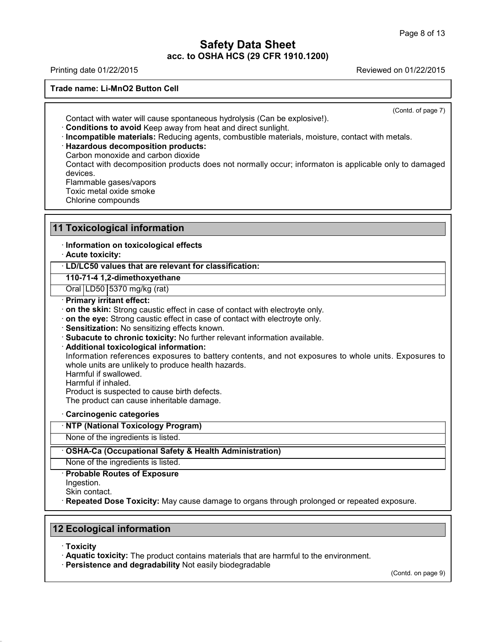Printing date 01/22/2015 Reviewed on 01/22/2015

**Trade name: Li-MnO2 Button Cell**

(Contd. of page 7)

Contact with water will cause spontaneous hydrolysis (Can be explosive!).

· **Conditions to avoid** Keep away from heat and direct sunlight.

· **Incompatible materials:** Reducing agents, combustible materials, moisture, contact with metals.

· **Hazardous decomposition products:**

Carbon monoxide and carbon dioxide

Contact with decomposition products does not normally occur; informaton is applicable only to damaged devices.

Flammable gases/vapors

Toxic metal oxide smoke

Chlorine compounds

## **11 Toxicological information**

· **Information on toxicological effects**

· **Acute toxicity:**

## · **LD/LC50 values that are relevant for classification:**

**110-71-4 1,2-dimethoxyethane**

Oral | LD50 | 5370 mg/kg (rat)

· **Primary irritant effect:**

· **on the skin:** Strong caustic effect in case of contact with electroyte only.

· **on the eye:** Strong caustic effect in case of contact with electroyte only.

· **Sensitization:** No sensitizing effects known.

· **Subacute to chronic toxicity:** No further relevant information available.

· **Additional toxicological information:**

Information references exposures to battery contents, and not exposures to whole units. Exposures to whole units are unlikely to produce health hazards.

Harmful if swallowed.

Harmful if inhaled.

Product is suspected to cause birth defects.

The product can cause inheritable damage.

· **Carcinogenic categories**

· **NTP (National Toxicology Program)**

None of the ingredients is listed.

· **OSHA-Ca (Occupational Safety & Health Administration)**

None of the ingredients is listed.

· **Probable Routes of Exposure**

Ingestion.

Skin contact.

· **Repeated Dose Toxicity:** May cause damage to organs through prolonged or repeated exposure.

## **12 Ecological information**

· **Toxicity**

40.0.6

· **Aquatic toxicity:** The product contains materials that are harmful to the environment.

· **Persistence and degradability** Not easily biodegradable

(Contd. on page 9)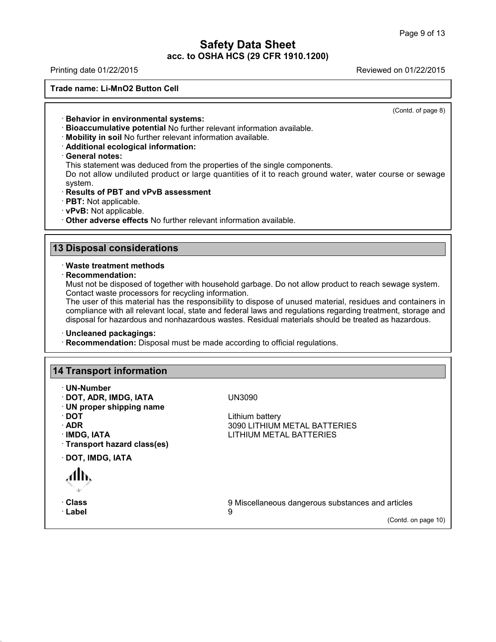Printing date 01/22/2015 Reviewed on 01/22/2015

**Trade name: Li-MnO2 Button Cell**

(Contd. of page 8)

- · **Behavior in environmental systems:**
- · **Bioaccumulative potential** No further relevant information available.
- · **Mobility in soil** No further relevant information available.
- · **Additional ecological information:**
- · **General notes:**

This statement was deduced from the properties of the single components.

Do not allow undiluted product or large quantities of it to reach ground water, water course or sewage system.

- · **Results of PBT and vPvB assessment**
- · **PBT:** Not applicable.
- · **vPvB:** Not applicable.

· **Other adverse effects** No further relevant information available.

## **13 Disposal considerations**

## · **Waste treatment methods**

· **Recommendation:**

Must not be disposed of together with household garbage. Do not allow product to reach sewage system. Contact waste processors for recycling information.

The user of this material has the responsibility to dispose of unused material, residues and containers in compliance with all relevant local, state and federal laws and regulations regarding treatment, storage and disposal for hazardous and nonhazardous wastes. Residual materials should be treated as hazardous.

## · **Uncleaned packagings:**

· **Recommendation:** Disposal must be made according to official regulations.

## **14 Transport information**

- · **UN-Number**
- · **DOT, ADR, IMDG, IATA** UN3090
- · **UN proper shipping name**
- 
- 
- 
- · **Transport hazard class(es)**

· **DOT, IMDG, IATA**

· **Label** 9

40.0.6

Lithium battery · **ADR** 3090 LITHIUM METAL BATTERIES **LITHIUM METAL BATTERIES** 

· **Class** 9 Miscellaneous dangerous substances and articles

(Contd. on page 10)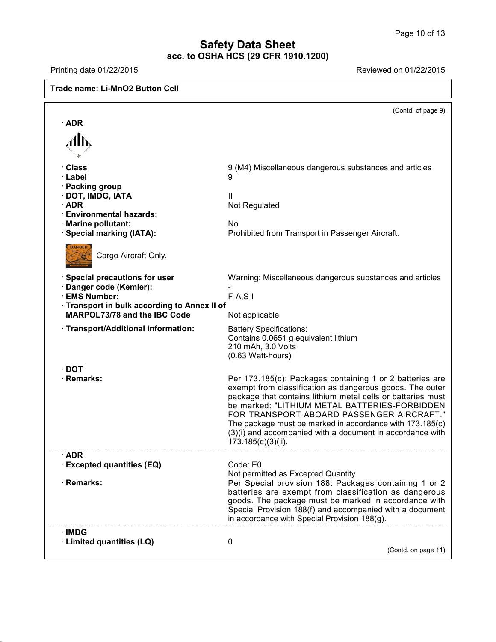$\overline{\phantom{a}}$ 

# **Safety Data Sheet acc. to OSHA HCS (29 CFR 1910.1200)**

 $\Gamma$ 

40.0.6

Printing date 01/22/2015 **Reviewed on 01/22/2015** 

| <b>Trade name: Li-MnO2 Button Cell</b>                                            |                                                                                                                                                                                                                                                                                                                                                                                                                                  |
|-----------------------------------------------------------------------------------|----------------------------------------------------------------------------------------------------------------------------------------------------------------------------------------------------------------------------------------------------------------------------------------------------------------------------------------------------------------------------------------------------------------------------------|
|                                                                                   | (Contd. of page 9)                                                                                                                                                                                                                                                                                                                                                                                                               |
| $\cdot$ ADR                                                                       |                                                                                                                                                                                                                                                                                                                                                                                                                                  |
|                                                                                   |                                                                                                                                                                                                                                                                                                                                                                                                                                  |
|                                                                                   |                                                                                                                                                                                                                                                                                                                                                                                                                                  |
| · Class<br>· Label                                                                | 9 (M4) Miscellaneous dangerous substances and articles<br>9                                                                                                                                                                                                                                                                                                                                                                      |
| · Packing group<br>· DOT, IMDG, IATA<br>$\cdot$ ADR                               | Ш<br>Not Regulated                                                                                                                                                                                                                                                                                                                                                                                                               |
| <b>Environmental hazards:</b><br>· Marine pollutant:                              | <b>No</b>                                                                                                                                                                                                                                                                                                                                                                                                                        |
| · Special marking (IATA):                                                         | Prohibited from Transport in Passenger Aircraft.                                                                                                                                                                                                                                                                                                                                                                                 |
| <b>DANGER</b><br>Cargo Aircraft Only.                                             |                                                                                                                                                                                                                                                                                                                                                                                                                                  |
| $\cdot$ Special precautions for user<br>Danger code (Kemler):                     | Warning: Miscellaneous dangerous substances and articles                                                                                                                                                                                                                                                                                                                                                                         |
| · EMS Number:                                                                     | $F-A, S-I$                                                                                                                                                                                                                                                                                                                                                                                                                       |
| Transport in bulk according to Annex II of<br><b>MARPOL73/78 and the IBC Code</b> | Not applicable.                                                                                                                                                                                                                                                                                                                                                                                                                  |
| · Transport/Additional information:                                               | <b>Battery Specifications:</b><br>Contains 0.0651 g equivalent lithium<br>210 mAh, 3.0 Volts<br>(0.63 Watt-hours)                                                                                                                                                                                                                                                                                                                |
| $\cdot$ DOT                                                                       |                                                                                                                                                                                                                                                                                                                                                                                                                                  |
| · Remarks:                                                                        | Per 173.185(c): Packages containing 1 or 2 batteries are<br>exempt from classification as dangerous goods. The outer<br>package that contains lithium metal cells or batteries must<br>be marked: "LITHIUM METAL BATTERIES-FORBIDDEN<br>FOR TRANSPORT ABOARD PASSENGER AIRCRAFT."<br>The package must be marked in accordance with 173.185(c)<br>(3)(i) and accompanied with a document in accordance with<br>173.185(c)(3)(ii). |
| $\cdot$ ADR                                                                       |                                                                                                                                                                                                                                                                                                                                                                                                                                  |
| <b>Excepted quantities (EQ)</b>                                                   | Code: E0<br>Not permitted as Excepted Quantity                                                                                                                                                                                                                                                                                                                                                                                   |
| · Remarks:                                                                        | Per Special provision 188: Packages containing 1 or 2<br>batteries are exempt from classification as dangerous<br>goods. The package must be marked in accordance with<br>Special Provision 188(f) and accompanied with a document<br>in accordance with Special Provision 188(g).                                                                                                                                               |
| ∙IMDG                                                                             |                                                                                                                                                                                                                                                                                                                                                                                                                                  |
| · Limited quantities (LQ)                                                         | 0<br>(Contd. on page 11)                                                                                                                                                                                                                                                                                                                                                                                                         |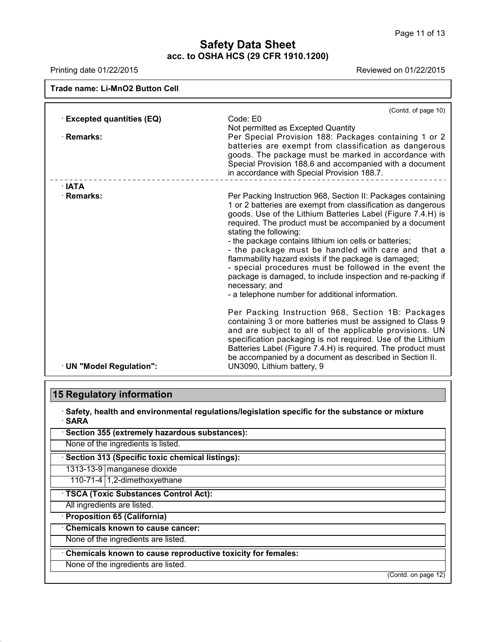Printing date 01/22/2015 **Reviewed on 01/22/2015** 

| Trade name: Li-MnO2 Button Cell |                                                                                                                                                                                                                                                                                                                                                                                                                                                                                                                                                                                                                                                          |
|---------------------------------|----------------------------------------------------------------------------------------------------------------------------------------------------------------------------------------------------------------------------------------------------------------------------------------------------------------------------------------------------------------------------------------------------------------------------------------------------------------------------------------------------------------------------------------------------------------------------------------------------------------------------------------------------------|
| <b>Excepted quantities (EQ)</b> | (Contd. of page 10)<br>Code: E0<br>Not permitted as Excepted Quantity                                                                                                                                                                                                                                                                                                                                                                                                                                                                                                                                                                                    |
| · Remarks:                      | Per Special Provision 188: Packages containing 1 or 2<br>batteries are exempt from classification as dangerous<br>goods. The package must be marked in accordance with<br>Special Provision 188.6 and accompanied with a document<br>in accordance with Special Provision 188.7.                                                                                                                                                                                                                                                                                                                                                                         |
| $\cdot$ IATA                    |                                                                                                                                                                                                                                                                                                                                                                                                                                                                                                                                                                                                                                                          |
| · Remarks:                      | Per Packing Instruction 968, Section II: Packages containing<br>1 or 2 batteries are exempt from classification as dangerous<br>goods. Use of the Lithium Batteries Label (Figure 7.4.H) is<br>required. The product must be accompanied by a document<br>stating the following:<br>- the package contains lithium ion cells or batteries;<br>- the package must be handled with care and that a<br>flammability hazard exists if the package is damaged;<br>- special procedures must be followed in the event the<br>package is damaged, to include inspection and re-packing if<br>necessary; and<br>- a telephone number for additional information. |
| · UN "Model Regulation":        | Per Packing Instruction 968, Section 1B: Packages<br>containing 3 or more batteries must be assigned to Class 9<br>and are subject to all of the applicable provisions. UN<br>specification packaging is not required. Use of the Lithium<br>Batteries Label (Figure 7.4.H) is required. The product must<br>be accompanied by a document as described in Section II.<br>UN3090, Lithium battery, 9                                                                                                                                                                                                                                                      |

# **15 Regulatory information**

· **Safety, health and environmental regulations/legislation specific for the substance or mixture** · **SARA**

| Section 355 (extremely hazardous substances): |
|-----------------------------------------------|
|-----------------------------------------------|

None of the ingredients is listed.

· **Section 313 (Specific toxic chemical listings):**

1313-13-9 manganese dioxide

110-71-4 1,2-dimethoxyethane

· **TSCA (Toxic Substances Control Act):**

All ingredients are listed.

40.0.6

· **Proposition 65 (California)**

· **Chemicals known to cause cancer:**

None of the ingredients are listed.

· **Chemicals known to cause reproductive toxicity for females:**

None of the ingredients are listed.

(Contd. on page 12)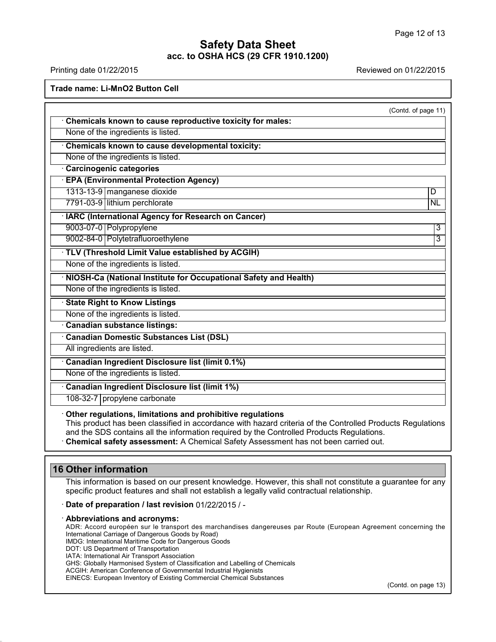Printing date 01/22/2015 Reviewed on 01/22/2015

**Trade name: Li-MnO2 Button Cell**

| (Contd. of page 11)<br>Chemicals known to cause reproductive toxicity for males: |
|----------------------------------------------------------------------------------|
| None of the ingredients is listed.                                               |
| Chemicals known to cause developmental toxicity:                                 |
| None of the ingredients is listed.                                               |
| Carcinogenic categories                                                          |
| <b>EPA (Environmental Protection Agency)</b>                                     |
| 1313-13-9 manganese dioxide<br>D                                                 |
| 7791-03-9 lithium perchlorate<br><b>NL</b>                                       |
| · IARC (International Agency for Research on Cancer)                             |
| 9003-07-0 Polypropylene<br>3                                                     |
| 9002-84-0 Polytetrafluoroethylene<br>3                                           |
| · TLV (Threshold Limit Value established by ACGIH)                               |
| None of the ingredients is listed.                                               |
| · NIOSH-Ca (National Institute for Occupational Safety and Health)               |
| None of the ingredients is listed.                                               |
| <b>State Right to Know Listings</b>                                              |
| None of the ingredients is listed.                                               |
| Canadian substance listings:                                                     |
| <b>Canadian Domestic Substances List (DSL)</b>                                   |
| All ingredients are listed.                                                      |
| <b>Canadian Ingredient Disclosure list (limit 0.1%)</b>                          |
| None of the ingredients is listed.                                               |
| Canadian Ingredient Disclosure list (limit 1%)                                   |
| 108-32-7 propylene carbonate                                                     |

and the SDS contains all the information required by the Controlled Products Regulations.

· **Chemical safety assessment:** A Chemical Safety Assessment has not been carried out.

## **16 Other information**

40.0.6

This information is based on our present knowledge. However, this shall not constitute a guarantee for any specific product features and shall not establish a legally valid contractual relationship.

· **Date of preparation / last revision** 01/22/2015 / -

#### · **Abbreviations and acronyms:**

ADR: Accord européen sur le transport des marchandises dangereuses par Route (European Agreement concerning the International Carriage of Dangerous Goods by Road)

IMDG: International Maritime Code for Dangerous Goods

DOT: US Department of Transportation

IATA: International Air Transport Association

GHS: Globally Harmonised System of Classification and Labelling of Chemicals

ACGIH: American Conference of Governmental Industrial Hygienists EINECS: European Inventory of Existing Commercial Chemical Substances

(Contd. on page 13)